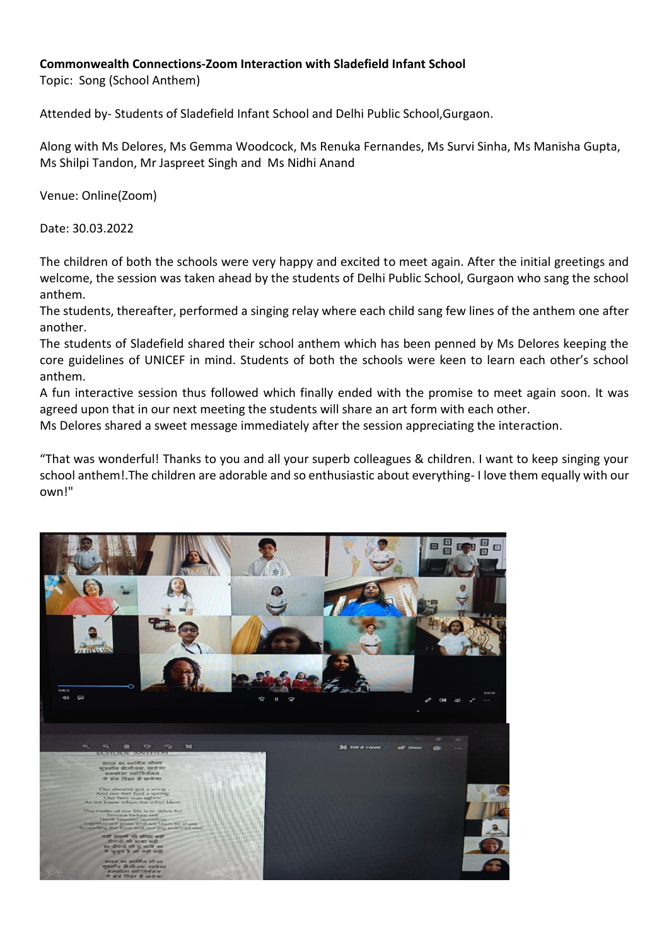## **Commonwealth Connections-Zoom Interaction with Sladefield Infant School**

Topic: Song (School Anthem)

Attended by- Students of Sladefield Infant School and Delhi Public School,Gurgaon.

Along with Ms Delores, Ms Gemma Woodcock, Ms Renuka Fernandes, Ms Survi Sinha, Ms Manisha Gupta, Ms Shilpi Tandon, Mr Jaspreet Singh and Ms Nidhi Anand

Venue: Online(Zoom)

Date: 30.03.2022

The children of both the schools were very happy and excited to meet again. After the initial greetings and welcome, the session was taken ahead by the students of Delhi Public School, Gurgaon who sang the school anthem.

The students, thereafter, performed a singing relay where each child sang few lines of the anthem one after another.

The students of Sladefield shared their school anthem which has been penned by Ms Delores keeping the core guidelines of UNICEF in mind. Students of both the schools were keen to learn each other's school anthem.

A fun interactive session thus followed which finally ended with the promise to meet again soon. It was agreed upon that in our next meeting the students will share an art form with each other.

Ms Delores shared a sweet message immediately after the session appreciating the interaction.

"That was wonderful! Thanks to you and all your superb colleagues & children. I want to keep singing your school anthem!.The children are adorable and so enthusiastic about everything- I love them equally with our own!"